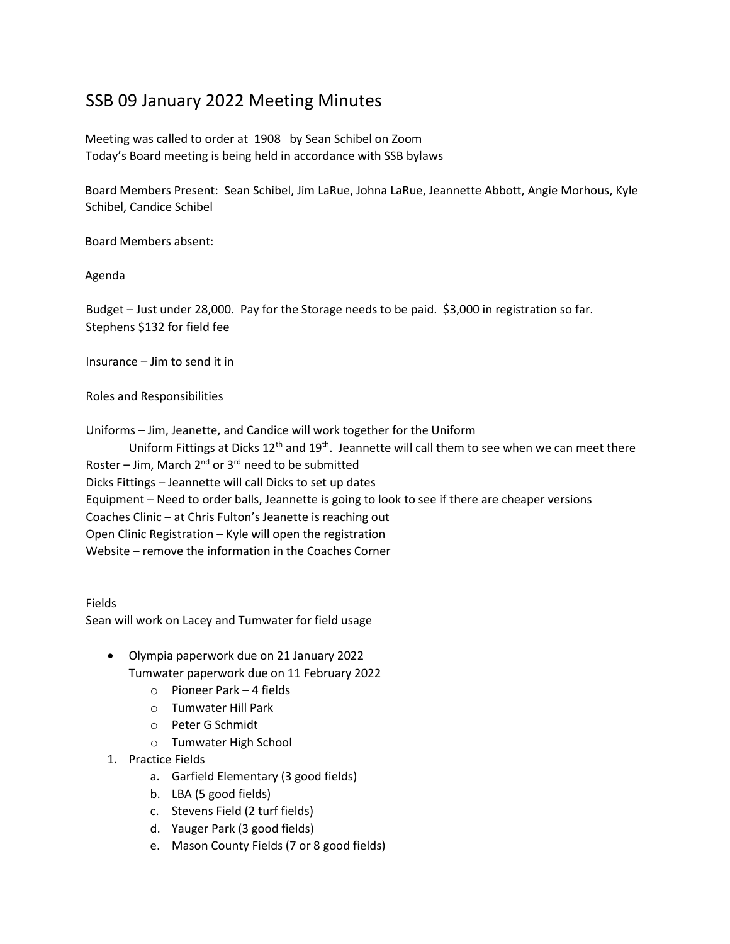## SSB 09 January 2022 Meeting Minutes

Meeting was called to order at 1908 by Sean Schibel on Zoom Today's Board meeting is being held in accordance with SSB bylaws

Board Members Present: Sean Schibel, Jim LaRue, Johna LaRue, Jeannette Abbott, Angie Morhous, Kyle Schibel, Candice Schibel

Board Members absent:

Agenda

Budget – Just under 28,000. Pay for the Storage needs to be paid. \$3,000 in registration so far. Stephens \$132 for field fee

Insurance – Jim to send it in

Roles and Responsibilities

Uniforms – Jim, Jeanette, and Candice will work together for the Uniform

Uniform Fittings at Dicks  $12<sup>th</sup>$  and  $19<sup>th</sup>$ . Jeannette will call them to see when we can meet there Roster – Jim, March  $2^{nd}$  or  $3^{rd}$  need to be submitted Dicks Fittings – Jeannette will call Dicks to set up dates Equipment – Need to order balls, Jeannette is going to look to see if there are cheaper versions Coaches Clinic – at Chris Fulton's Jeanette is reaching out Open Clinic Registration – Kyle will open the registration Website – remove the information in the Coaches Corner

Fields Sean will work on Lacey and Tumwater for field usage

- Olympia paperwork due on 21 January 2022 Tumwater paperwork due on 11 February 2022
	- o Pioneer Park 4 fields
	- o Tumwater Hill Park
	- o Peter G Schmidt
	- o Tumwater High School
- 1. Practice Fields
	- a. Garfield Elementary (3 good fields)
	- b. LBA (5 good fields)
	- c. Stevens Field (2 turf fields)
	- d. Yauger Park (3 good fields)
	- e. Mason County Fields (7 or 8 good fields)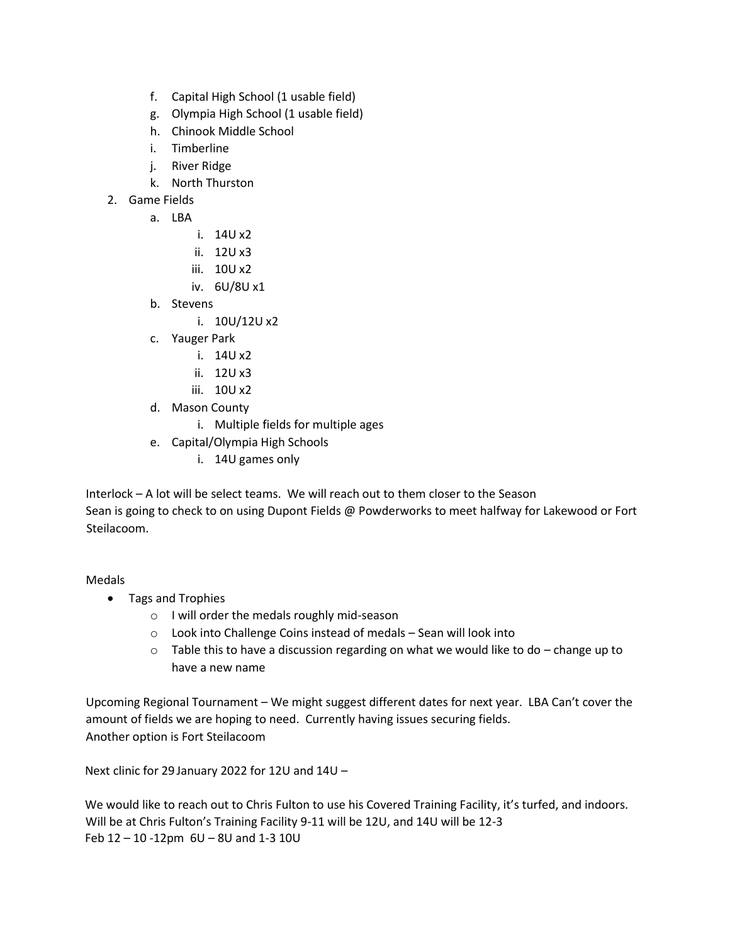- f. Capital High School (1 usable field)
- g. Olympia High School (1 usable field)
- h. Chinook Middle School
- i. Timberline
- j. River Ridge
- k. North Thurston
- 2. Game Fields
	- a. LBA
		- i. 14U x2
		- ii. 12U x3
		- iii. 10U x2
		- iv. 6U/8U x1
	- b. Stevens
		- i. 10U/12U x2
	- c. Yauger Park
		- i. 14U x2
		- ii. 12U x3
		- iii. 10U x2
	- d. Mason County
		- i. Multiple fields for multiple ages
	- e. Capital/Olympia High Schools
		- i. 14U games only

Interlock – A lot will be select teams. We will reach out to them closer to the Season Sean is going to check to on using Dupont Fields @ Powderworks to meet halfway for Lakewood or Fort Steilacoom.

## Medals

- Tags and Trophies
	- o I will order the medals roughly mid-season
	- o Look into Challenge Coins instead of medals Sean will look into
	- $\circ$  Table this to have a discussion regarding on what we would like to do change up to have a new name

Upcoming Regional Tournament – We might suggest different dates for next year. LBA Can't cover the amount of fields we are hoping to need. Currently having issues securing fields. Another option is Fort Steilacoom

Next clinic for 29 January 2022 for 12U and 14U –

We would like to reach out to Chris Fulton to use his Covered Training Facility, it's turfed, and indoors. Will be at Chris Fulton's Training Facility 9-11 will be 12U, and 14U will be 12-3 Feb 12 – 10 -12pm 6U – 8U and 1-3 10U